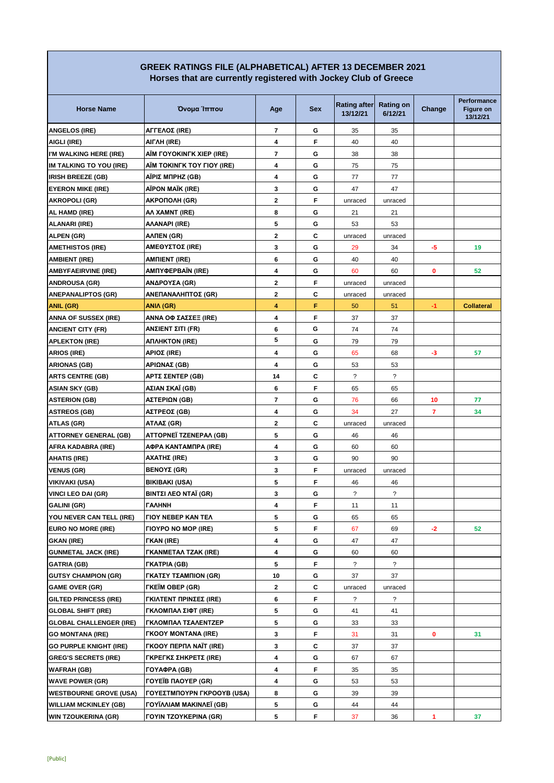## **GREEK RATINGS FILE (ALPHABETICAL) AFTER 13 DECEMBER 2021 Horses that are currently registered with Jockey Club of Greece**

| <b>Horse Name</b>              | Όνομα Ίππου                           | Age                     | <b>Sex</b> | <b>Rating after</b><br>13/12/21 | <b>Rating on</b><br>6/12/21 | Change | Performance<br><b>Figure on</b><br>13/12/21 |
|--------------------------------|---------------------------------------|-------------------------|------------|---------------------------------|-----------------------------|--------|---------------------------------------------|
| <b>ANGELOS (IRE)</b>           | ΑΓΓΕΛΟΣ (IRE)                         | $\overline{7}$          | G          | 35                              | 35                          |        |                                             |
| AIGLI (IRE)                    | AIFAH (IRE)                           | 4                       | F          | 40                              | 40                          |        |                                             |
| I'M WALKING HERE (IRE)         | AÏM FOYOKINFK XIEP (IRE)              | 7                       | G          | 38                              | 38                          |        |                                             |
| IM TALKING TO YOU (IRE)        | AÏM TOKINFK TOY FIOY (IRE)            | 4                       | G          | 75                              | 75                          |        |                                             |
| <b>IRISH BREEZE (GB)</b>       | AΪΡΙΣ ΜΠΡΗΖ (GB)                      | 4                       | G          | 77                              | 77                          |        |                                             |
| <b>EYERON MIKE (IRE)</b>       | AÏPON MAÏK (IRE)                      | 3                       | G          | 47                              | 47                          |        |                                             |
| <b>AKROPOLI (GR)</b>           | AKPONOAH (GR)                         | $\mathbf{2}$            | F          | unraced                         | unraced                     |        |                                             |
| AL HAMD (IRE)                  | AA XAMNT (IRE)                        | 8                       | G          | 21                              | 21                          |        |                                             |
| <b>ALANARI (IRE)</b>           | AAANAPI (IRE)                         | 5                       | G          | 53                              | 53                          |        |                                             |
| ALPEN (GR)                     | AΛΠEN (GR)                            | $\mathbf{2}$            | C          | unraced                         | unraced                     |        |                                             |
| <b>AMETHISTOS (IRE)</b>        | ΑΜΕΘΥΣΤΟΣ (IRE)                       | 3                       | G          | 29                              | 34                          | -5     | 19                                          |
| <b>AMBIENT (IRE)</b>           | AMΠIENT (IRE)                         | 6                       | G          | 40                              | 40                          |        |                                             |
| <b>AMBYFAEIRVINE (IRE)</b>     | AMΠΥΦΕΡΒΑΪΝ (IRE)                     | 4                       | G          | 60                              | 60                          | 0      | 52                                          |
| <b>ANDROUSA (GR)</b>           | ΑΝΔΡΟΥΣΑ (GR)                         | $\mathbf{2}$            | F          | unraced                         | unraced                     |        |                                             |
| <b>ANEPANALIPTOS (GR)</b>      | ΑΝΕΠΑΝΑΛΗΠΤΟΣ (GR)                    | $\mathbf{2}$            | С          | unraced                         | unraced                     |        |                                             |
| <b>ANIL (GR)</b>               | <b>ANIA (GR)</b>                      | 4                       | F          | 50                              | 51                          | $-1$   | <b>Collateral</b>                           |
| <b>ANNA OF SUSSEX (IRE)</b>    | ΑΝΝΑ ΟΦ ΣΑΣΣΕΞ (IRE)                  | 4                       | F          | 37                              | 37                          |        |                                             |
| <b>ANCIENT CITY (FR)</b>       | ΑΝΣΙΕΝΤ ΣΙΤΙ (FR)                     | 6                       | G          | 74                              | 74                          |        |                                             |
| <b>APLEKTON (IRE)</b>          | ΑΠΛΗΚΤΟΝ (IRE)                        | 5                       | G          | 79                              | 79                          |        |                                             |
| <b>ARIOS (IRE)</b>             | ΑΡΙΟΣ (IRE)                           | 4                       | G          | 65                              | 68                          | -3     | 57                                          |
| <b>ARIONAS (GB)</b>            | ΑΡΙΩΝΑΣ (GB)                          | $\overline{\mathbf{4}}$ | G          | 53                              | 53                          |        |                                             |
| <b>ARTS CENTRE (GB)</b>        | ΑΡΤΣ ΣΕΝΤΕΡ (GB)                      | 14                      | С          | $\overline{?}$                  | $\overline{\phantom{a}}$    |        |                                             |
| <b>ASIAN SKY (GB)</b>          | ΑΣΙΑΝ ΣΚΑΪ (GB)                       | 6                       | F          | 65                              | 65                          |        |                                             |
| <b>ASTERION (GB)</b>           | ΑΣΤΕΡΙΩΝ (GB)                         | $\overline{\mathbf{r}}$ | G          | 76                              | 66                          | 10     | 77                                          |
| <b>ASTREOS (GB)</b>            | ΑΣΤΡΕΟΣ (GB)                          | 4                       | G          | 34                              | 27                          | 7      | 34                                          |
| ATLAS (GR)                     | ΑΤΛΑΣ (GR)                            | $\mathbf{2}$            | C          | unraced                         | unraced                     |        |                                             |
| <b>ATTORNEY GENERAL (GB)</b>   | ATTOPNEÏ TZENEPAA (GB)                | 5                       | G          | 46                              | 46                          |        |                                             |
| AFRA KADABRA (IRE)             | ΑΦΡΑ ΚΑΝΤΑΜΠΡΑ (IRE)                  | 4                       | G          | 60                              | 60                          |        |                                             |
| <b>AHATIS (IRE)</b>            | AXATHΣ (IRE)                          | 3                       | G          | 90                              | 90                          |        |                                             |
| <b>VENUS (GR)</b>              | BENOΥΣ (GR)                           | 3                       | F          | unraced                         | unraced                     |        |                                             |
| VIKIVAKI (USA)                 | <b>BIKIBAKI (USA)</b>                 | 5                       | F          | 46                              | 46                          |        |                                             |
| <b>VINCI LEO DAI (GR)</b>      | BINTΣΙ ΛΕΟ ΝΤΑΪ (GR)                  | 3                       | G          | ?                               | ?                           |        |                                             |
| <b>GALINI (GR)</b>             | <b><i><u>TAAHNH</u></i></b>           | $\overline{\mathbf{4}}$ | F          | 11                              | 11                          |        |                                             |
| YOU NEVER CAN TELL (IRE)       | <b><i>FIOY NEBEP KAN TEA</i></b>      | 5                       | G          | 65                              | 65                          |        |                                             |
| EURO NO MORE (IRE)             | <b><i>FIOYPO NO MOP (IRE)</i></b>     | 5                       | F.         | 67                              | 69                          | $-2$   | 52                                          |
| <b>GKAN (IRE)</b>              | <b>FKAN (IRE)</b>                     | 4                       | G          | 47                              | 47                          |        |                                             |
| <b>GUNMETAL JACK (IRE)</b>     | <b><i>FKANMETAA TZAK (IRE)</i></b>    | 4                       | G          | 60                              | 60                          |        |                                             |
| <b>GATRIA (GB)</b>             | <b><i>FKATPIA (GB)</i></b>            | 5                       | F          | ?                               | $\overline{?}$              |        |                                             |
| <b>GUTSY CHAMPION (GR)</b>     | ΓΚΑΤΣΥ ΤΣΑΜΠΙΟΝ (GR)                  | 10                      | G          | 37                              | 37                          |        |                                             |
| <b>GAME OVER (GR)</b>          | <b><i>TKEIM OBEP (GR)</i></b>         | $\mathbf{2}$            | С          | unraced                         | unraced                     |        |                                             |
| <b>GILTED PRINCESS (IRE)</b>   | ΓΚΙΛΤΕΝΤ ΠΡΙΝΣΕΣ (IRE)                | 6                       | F          | ?                               | $\overline{?}$              |        |                                             |
| <b>GLOBAL SHIFT (IRE)</b>      | ΓΚΛΟΜΠΑΛ ΣΙΦΤ (IRE)                   | 5                       | G          | 41                              | 41                          |        |                                             |
| <b>GLOBAL CHALLENGER (IRE)</b> | ΓΚΛΟΜΠΑΛ ΤΣΑΛΕΝΤΖΕΡ                   | 5                       | G          | 33                              | 33                          |        |                                             |
| <b>GO MONTANA (IRE)</b>        | <b>FKOOY MONTANA (IRE)</b>            | 3                       | F          | 31                              | 31                          | 0      | 31                                          |
| <b>GO PURPLE KNIGHT (IRE)</b>  | <b><i>FKOOY ΠΕΡΠΛ ΝΑΪΤ (IRE)</i></b>  | 3                       | С          | 37                              | 37                          |        |                                             |
| <b>GREG'S SECRETS (IRE)</b>    | <b>ΓΚΡΕΓΚΣ ΣΗΚΡΕΤΣ (IRE)</b>          | 4                       | G          | 67                              | 67                          |        |                                             |
| <b>WAFRAH (GB)</b>             | <b>ГОҮАФРА (GB)</b>                   | 4                       | F          | 35                              | 35                          |        |                                             |
| <b>WAVE POWER (GR)</b>         | <b><i>FOYEIB HAOYEP (GR)</i></b>      | 4                       | G          | 53                              | 53                          |        |                                             |
| <b>WESTBOURNE GROVE (USA)</b>  | ΓΟΥΕΣΤΜΠΟΥΡΝ ΓΚΡΟΟΥΒ (USA)            | 8                       | G          | 39                              | 39                          |        |                                             |
| <b>WILLIAM MCKINLEY (GB)</b>   | <b><i>FOYÎAAIAM MAKINAEÎ (GB)</i></b> | 5                       | G          | 44                              | 44                          |        |                                             |
| <b>WIN TZOUKERINA (GR)</b>     | <b>FOYIN TZOYKEPINA (GR)</b>          | 5                       | F          | 37                              | 36                          | 1      | 37                                          |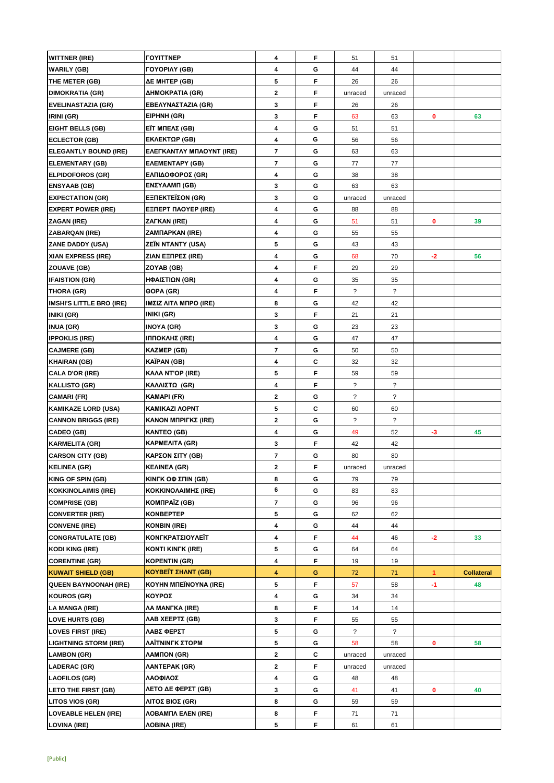| <b>WITTNER (IRE)</b>                           | <b><i>COYITTNEP</i></b>                           | 4              | F  | 51             | 51                       |              |                   |
|------------------------------------------------|---------------------------------------------------|----------------|----|----------------|--------------------------|--------------|-------------------|
| <b>WARILY (GB)</b>                             | <b>FOYOPIAY (GB)</b>                              | 4              | G  | 44             | 44                       |              |                   |
| THE METER (GB)                                 | ΔE MHTEP (GB)                                     | 5              | F  | 26             | 26                       |              |                   |
| <b>DIMOKRATIA (GR)</b>                         | ΔΗΜΟΚΡΑΤΙΑ (GR)                                   | $\mathbf{2}$   | F  | unraced        | unraced                  |              |                   |
| <b>EVELINASTAZIA (GR)</b>                      | ΕΒΕΛΥΝΑΣΤΑΖΙΑ (GR)                                | 3              | F  | 26             | 26                       |              |                   |
| IRINI (GR)                                     | EIPHNH (GR)                                       | 3              | F  | 63             | 63                       | 0            | 63                |
| <b>EIGHT BELLS (GB)</b>                        | ΕΪΤ ΜΠΕΛΣ (GB)                                    | 4              | G  | 51             | 51                       |              |                   |
| <b>ECLECTOR (GB)</b>                           | EKΛΕΚΤΩΡ (GB)                                     | 4              | G  | 56             | 56                       |              |                   |
| <b>ELEGANTLY BOUND (IRE)</b>                   | EAEFKANTAY MΠAOYNT (IRE)                          | 7              | G  | 63             | 63                       |              |                   |
| <b>ELEMENTARY (GB)</b>                         | <b>EAEMENTAPY (GB)</b>                            | $\overline{7}$ | G  | 77             | 77                       |              |                   |
| <b>ELPIDOFOROS (GR)</b>                        | ΕΛΠΙΔΟΦΟΡΟΣ (GR)                                  | 4              | G  | 38             | 38                       |              |                   |
| <b>ENSYAAB (GB)</b>                            | <b>ΕΝΣΥΑΑΜΠ (GB)</b>                              | 3              | G  | 63             | 63                       |              |                   |
| <b>EXPECTATION (GR)</b>                        | EΞΠΕΚΤΕΪΣΟΝ (GR)                                  | 3              | G  | unraced        | unraced                  |              |                   |
| <b>EXPERT POWER (IRE)</b>                      | <b>EENEPT NAOYEP (IRE)</b>                        | 4              | G  | 88             | 88                       |              |                   |
| ZAGAN (IRE)                                    | ZAFKAN (IRE)                                      | 4              | G  | 51             | 51                       | 0            | 39                |
| <b>ZABARQAN (IRE)</b>                          | ZAMNAPKAN (IRE)                                   | 4              | G  | 55             | 55                       |              |                   |
| <b>ZANE DADDY (USA)</b>                        | <b>ZEÏN NTANTY (USA)</b>                          | 5              | G  | 43             | 43                       |              |                   |
| <b>XIAN EXPRESS (IRE)</b>                      | ZIAN EΞΠΡΕΣ (IRE)                                 | 4              | G  | 68             | 70                       | $-2$         | 56                |
| ZOUAVE (GB)                                    | ZOYAB (GB)                                        | 4              | F  | 29             | 29                       |              |                   |
| <b>IFAISTION (GR)</b>                          | ΗΦΑΙΣΤΙΩΝ (GR)                                    | 4              | G  | 35             | 35                       |              |                   |
| THORA (GR)                                     | 00PA (GR)                                         | 4              | F  | $\tilde{?}$    | $\overline{\phantom{a}}$ |              |                   |
| <b>IMSHI'S LITTLE BRO (IRE)</b>                | IMΣIZ ΛΙΤΛ ΜΠΡΟ (IRE)                             | 8              | G  | 42             | 42                       |              |                   |
| INIKI (GR)                                     | INIKI (GR)                                        | 3              | F  | 21             | 21                       |              |                   |
| <b>INUA (GR)</b>                               | <b>INOYA (GR)</b>                                 | 3              | G  | 23             | 23                       |              |                   |
| <b>IPPOKLIS (IRE)</b>                          | ΙΠΠΟΚΛΗΣ (IRE)                                    | 4              | G  | 47             | 47                       |              |                   |
| <b>CAJMERE (GB)</b>                            | KAZMEP (GB)                                       | 7              | G  | 50             | 50                       |              |                   |
| <b>KHAIRAN (GB)</b>                            | KAÏPAN (GB)                                       | 4              | C  | 32             | 32                       |              |                   |
| <b>CALA D'OR (IRE)</b>                         | KAAA NT'OP (IRE)                                  | 5              | F  | 59             | 59                       |              |                   |
| <b>KALLISTO (GR)</b>                           | ΚΑΛΛΙΣΤΩ (GR)                                     | 4              | F  | ?              | ?                        |              |                   |
| <b>CAMARI (FR)</b>                             | KAMAPI (FR)                                       | 2              | G  | $\overline{?}$ | $\overline{?}$           |              |                   |
| <b>KAMIKAZE LORD (USA)</b>                     | KAMIKAZI AOPNT                                    | 5              | С  | 60             | 60                       |              |                   |
| <b>CANNON BRIGGS (IRE)</b>                     | ΚΑΝΟΝ ΜΠΡΙΓΚΣ (IRE)                               | 2              | G  | ?              | $\ddot{\phantom{0}}$     |              |                   |
| CADEO (GB)                                     | <b>KANTEO (GB)</b>                                | 4              | G  | 49             | 52                       | $-3$         | 45                |
| <b>KARMELITA (GR)</b>                          | KAPMEAITA (GR)                                    | 3              | F  | 42             | 42                       |              |                   |
|                                                | ΚΑΡΣΟΝ ΣΙΤΥ (GB)                                  | 7              | G  |                |                          |              |                   |
| <b>CARSON CITY (GB)</b><br><b>KELINEA (GR)</b> |                                                   |                | F  | 80             | 80                       |              |                   |
|                                                | <b>KEAINEA (GR)</b>                               | 2              |    | unraced        | unraced                  |              |                   |
| <b>KING OF SPIN (GB)</b>                       | <b>KINFK OΦ ΣΠΙΝ (GB)</b>                         | 8<br>6         | G  | 79             | 79                       |              |                   |
| <b>KOKKINOLAIMIS (IRE)</b>                     | KOKKINOΛAIMHΣ (IRE)                               |                | G  | 83             | 83                       |              |                   |
| <b>COMPRISE (GB)</b>                           | KOMNPAÏZ (GB)                                     | 7              | G  | 96             | 96                       |              |                   |
| <b>CONVERTER (IRE)</b>                         | <b>KONBEPTEP</b>                                  | 5              | G  | 62             | 62                       |              |                   |
| <b>CONVENE (IRE)</b>                           | <b>KONBIN (IRE)</b>                               | 4              | G  | 44             | 44                       |              |                   |
| <b>CONGRATULATE (GB)</b>                       | ΚΟΝΓΚΡΑΤΣΙΟΥΛΕΪΤ                                  | 4              | F  | 44             | 46                       | $-2$         | 33                |
| <b>KODI KING (IRE)</b>                         | <b>KONTI KINFK (IRE)</b>                          | 5              | G  | 64             | 64                       |              |                   |
| <b>CORENTINE (GR)</b>                          | <b>KOPENTIN (GR)</b><br><b>ΚΟΥΒΕΪΤ ΣΗΛΝΤ (GB)</b> | 4              | F. | 19             | 19                       |              |                   |
| <b>KUWAIT SHIELD (GB)</b>                      |                                                   | 4              | G  | 72             | 71                       | $\mathbf{1}$ | <b>Collateral</b> |
| <b>QUEEN BAYNOONAH (IRE)</b>                   | <b>KOYHN MITEÏNOYNA (IRE)</b>                     | 5              | F  | 57             | 58                       | -1           | 48                |
| <b>KOUROS (GR)</b>                             | ΚΟΥΡΟΣ                                            | 4              | G  | 34             | 34                       |              |                   |
| <b>LA MANGA (IRE)</b>                          | AA MANFKA (IRE)                                   | 8              | F  | 14             | 14                       |              |                   |
| <b>LOVE HURTS (GB)</b>                         | ΛΑΒ ΧΕΕΡΤΣ (GB)                                   | 3              | F  | 55             | 55                       |              |                   |
| <b>LOVES FIRST (IRE)</b>                       | ΛΑΒΣ ΦΕΡΣΤ                                        | 5              | G  | ?              | $\overline{?}$           |              |                   |
| <b>LIGHTNING STORM (IRE)</b>                   | ΛΑΪΤΝΙΝΓΚ ΣΤΟΡΜ                                   | 5              | G  | 58             | 58                       | 0            | 58                |
| <b>LAMBON (GR)</b>                             | ΛΑΜΠΟΝ (GR)                                       | $\mathbf{2}$   | С  | unraced        | unraced                  |              |                   |
| <b>LADERAC (GR)</b>                            | <b><i>AANTEPAK (GR)</i></b>                       | $\mathbf{2}$   | F  | unraced        | unraced                  |              |                   |
| <b>LAOFILOS (GR)</b>                           | ΛΑΟΦΙΛΟΣ                                          | 4              | G  | 48             | 48                       |              |                   |
| LETO THE FIRST (GB)                            | ΛΕΤΟ ΔΕ ΦΕΡΣΤ (GB)                                | 3              | G  | 41             | 41                       | 0            | 40                |
| LITOS VIOS (GR)                                | ΛΙΤΟΣ ΒΙΟΣ (GR)                                   | 8              | G  | 59             | 59                       |              |                   |
| <b>LOVEABLE HELEN (IRE)</b>                    | <b><i>ΛΟΒΑΜΠΛ ΕΛΕΝ (IRE)</i></b>                  | 8              | F  | 71             | 71                       |              |                   |
| <b>LOVINA (IRE)</b>                            | <b><i>AOBINA (IRE)</i></b>                        | 5              | F  | 61             | 61                       |              |                   |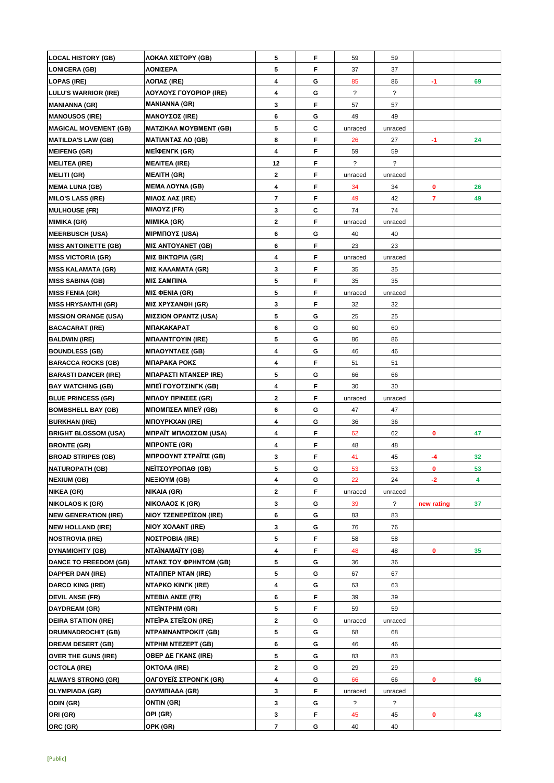| <b>LOCAL HISTORY (GB)</b>    | ΛΟΚΑΛ ΧΙΣΤΟΡΥ (GB)            | 5              | F | 59                   | 59                       |            |    |
|------------------------------|-------------------------------|----------------|---|----------------------|--------------------------|------------|----|
| <b>LONICERA (GB)</b>         | ΛΟΝΙΣΕΡΑ                      | 5              | F | 37                   | 37                       |            |    |
| <b>LOPAS (IRE)</b>           | ΛΟΠΑΣ (IRE)                   | 4              | G | 85                   | 86                       | -1         | 69 |
| <b>LULU'S WARRIOR (IRE)</b>  | ΛΟΥΛΟΥΣ ΓΟΥΟΡΙΟΡ (IRE)        | 4              | G | $\ddot{\phantom{0}}$ | $\overline{\mathcal{E}}$ |            |    |
| <b>MANIANNA (GR)</b>         | <b>MANIANNA (GR)</b>          | 3              | F | 57                   | 57                       |            |    |
| <b>MANOUSOS (IRE)</b>        | <b>ΜΑΝΟΥΣΟΣ (IRE)</b>         | 6              | G | 49                   | 49                       |            |    |
| <b>MAGICAL MOVEMENT (GB)</b> | <b>MATZIKAA MOYBMENT (GB)</b> | 5              | C | unraced              | unraced                  |            |    |
| <b>MATILDA'S LAW (GB)</b>    | <b>ΜΑΤΙΛΝΤΑΣ ΛΟ (GB)</b>      | 8              | F | 26                   | 27                       | -1         | 24 |
|                              |                               |                |   |                      |                          |            |    |
| <b>MEIFENG (GR)</b>          | <b>MEÏΦENFK (GR)</b>          | 4              | F | 59                   | 59                       |            |    |
| <b>MELITEA (IRE)</b>         | <b>MEAITEA (IRE)</b>          | 12             | F | ?                    | ?                        |            |    |
| <b>MELITI (GR)</b>           | <b>MEAITH (GR)</b>            | $\mathbf{2}$   | F | unraced              | unraced                  |            |    |
| <b>MEMA LUNA (GB)</b>        | <b>MEMA AOYNA (GB)</b>        | 4              | F | 34                   | 34                       | 0          | 26 |
| <b>MILO'S LASS (IRE)</b>     | <b>ΜΙΛΟΣ ΛΑΣ (IRE)</b>        | $\overline{7}$ | F | 49                   | 42                       | 7          | 49 |
| <b>MULHOUSE (FR)</b>         | MIAOYZ (FR)                   | 3              | C | 74                   | 74                       |            |    |
| <b>MIMIKA (GR)</b>           | <b>MIMIKA (GR)</b>            | 2              | F | unraced              | unraced                  |            |    |
| <b>MEERBUSCH (USA)</b>       | <b>ΜΙΡΜΠΟΥΣ (USA)</b>         | 6              | G | 40                   | 40                       |            |    |
| <b>MISS ANTOINETTE (GB)</b>  | MIΣ ANTOYANET (GB)            | 6              | F | 23                   | 23                       |            |    |
| <b>MISS VICTORIA (GR)</b>    | ΜΙΣ ΒΙΚΤΩΡΙΑ (GR)             | 4              | F | unraced              | unraced                  |            |    |
| <b>MISS KALAMATA (GR)</b>    | <b>ΜΙΣ ΚΑΛΑΜΑΤΑ (GR)</b>      | 3              | F | 35                   | 35                       |            |    |
| <b>MISS SABINA (GB)</b>      | ΜΙΣ ΣΑΜΠΙΝΑ                   | 5              | F | 35                   | 35                       |            |    |
| <b>MISS FENIA (GR)</b>       | MIΣ ΦΕΝΙΑ (GR)                | 5              | F | unraced              | unraced                  |            |    |
| <b>MISS HRYSANTHI (GR)</b>   | <b>ΜΙΣ ΧΡΥΣΑΝΘΗ (GR)</b>      | 3              | F | 32                   | 32                       |            |    |
| <b>MISSION ORANGE (USA)</b>  | <b>ΜΙΣΣΙΟΝ ΟΡΑΝΤΖ (USA)</b>   | 5              | G | 25                   | 25                       |            |    |
| <b>BACACARAT (IRE)</b>       | <b>МПАКАКАРАТ</b>             | 6              | G | 60                   | 60                       |            |    |
| <b>BALDWIN (IRE)</b>         | <b>MNAANTFOYIN (IRE)</b>      | 5              | G | 86                   | 86                       |            |    |
| <b>BOUNDLESS (GB)</b>        | <b>ΜΠΑΟΥΝΤΛΕΣ (GB)</b>        | 4              | G | 46                   | 46                       |            |    |
| <b>BARACCA ROCKS (GB)</b>    | ΜΠΑΡΑΚΑ ΡΟΚΣ                  | 4              | F | 51                   | 51                       |            |    |
| <b>BARASTI DANCER (IRE)</b>  | ΜΠΑΡΑΣΤΙ ΝΤΑΝΣΕΡ ΙRE)         | 5              | G | 66                   | 66                       |            |    |
| <b>BAY WATCHING (GB)</b>     | ΜΠΕΪ ΓΟΥΟΤΣΙΝΓΚ (GB)          | 4              | F | 30                   | 30                       |            |    |
| <b>BLUE PRINCESS (GR)</b>    | <b>ΜΠΛΟΥ ΠΡΙΝΣΕΣ (GR)</b>     | $\mathbf 2$    | F | unraced              | unraced                  |            |    |
| <b>BOMBSHELL BAY (GB)</b>    | <b>ΜΠΟΜΠΣΕΛ ΜΠΕΥ (GB)</b>     | 6              | G | 47                   | 47                       |            |    |
| <b>BURKHAN (IRE)</b>         | <b>MNOYPKXAN (IRE)</b>        | 4              | G | 36                   | 36                       |            |    |
| <b>BRIGHT BLOSSOM (USA)</b>  | ΜΠΡΑΪΤ ΜΠΛΟΣΣΟΜ (USA)         | 4              | F | 62                   | 62                       | 0          | 47 |
| <b>BRONTE (GR)</b>           | <b>MIPONTE (GR)</b>           | 4              | F | 48                   | 48                       |            |    |
| <b>BROAD STRIPES (GB)</b>    | <b>ΜΠΡΟΟΥΝΤ ΣΤΡΑΪΠΣ (GB)</b>  | 3              | F | 41                   | 45                       | -4         | 32 |
| <b>NATUROPATH (GB)</b>       | ΝΕΪΤΣΟΥΡΟΠΑΘ (GB)             | 5              | G | 53                   | 53                       | 0          | 53 |
| <b>NEXIUM (GB)</b>           | <b>NEEIOYM (GB)</b>           | 4              | G | 22                   | 24                       | -2         | 4  |
| <b>NIKEA (GR)</b>            | NIKAIA (GR)                   | $\mathbf{2}$   | F | unraced              | unraced                  |            |    |
| <b>NIKOLAOS K (GR)</b>       | <b>ΝΙΚΟΛΑΟΣ Κ (GR)</b>        | 3              | G |                      | $\ddot{?}$               |            | 37 |
| <b>NEW GENERATION (IRE)</b>  | <b>NIOY TZENEPEΪΣON (IRE)</b> | 6              | G | 39<br>83             | 83                       | new rating |    |
|                              |                               | 3              | G |                      |                          |            |    |
| <b>NEW HOLLAND (IRE)</b>     | NIOY XOAANT (IRE)             |                |   | 76                   | 76                       |            |    |
| <b>NOSTROVIA (IRE)</b>       | <b>ΝΟΣΤΡΟΒΙΑ (IRE)</b>        | 5              | F | 58                   | 58                       |            |    |
| <b>DYNAMIGHTY (GB)</b>       | NTAÏNAMAÏTY (GB)              | 4<br>5         | F | 48                   | 48                       | 0          | 35 |
| <b>DANCE TO FREEDOM (GB)</b> | ΝΤΑΝΣ ΤΟΥ ΦΡΗΝΤΟΜ (GB)        |                | G | 36                   | 36                       |            |    |
| <b>DAPPER DAN (IRE)</b>      | <b>NTANNEP NTAN (IRE)</b>     | 5              | G | 67                   | 67                       |            |    |
| <b>DARCO KING (IRE)</b>      | <b>NTAPKO KINFK (IRE)</b>     | 4              | G | 63                   | 63                       |            |    |
| <b>DEVIL ANSE (FR)</b>       | NTEBIΛ ANΣE (FR)              | 6              | F | 39                   | 39                       |            |    |
| <b>DAYDREAM (GR)</b>         | <b>NTEÏNTPHM (GR)</b>         | 5              | F | 59                   | 59                       |            |    |
| <b>DEIRA STATION (IRE)</b>   | ΝΤΕΪΡΑ ΣΤΕΪΣΟΝ (IRE)          | $\mathbf{2}$   | G | unraced              | unraced                  |            |    |
| <b>DRUMNADROCHIT (GB)</b>    | NTPAMNANTPOKIT (GB)           | 5              | G | 68                   | 68                       |            |    |
| <b>DREAM DESERT (GB)</b>     | <b>NTPHM NTEZEPT (GB)</b>     | 6              | G | 46                   | 46                       |            |    |
| <b>OVER THE GUNS (IRE)</b>   | OBEP ΔΕ ΓΚΑΝΣ (IRE)           | 5              | G | 83                   | 83                       |            |    |
| <b>OCTOLA (IRE)</b>          | OKTOAA (IRE)                  | $\mathbf{2}$   | G | 29                   | 29                       |            |    |
| <b>ALWAYS STRONG (GR)</b>    | ΟΛΓΟΥΕΪΣ ΣΤΡΟΝΓΚ (GR)         | 4              | G | 66                   | 66                       | 0          | 66 |
| <b>OLYMPIADA (GR)</b>        | ΟΛΥΜΠΙΑΔΑ (GR)                | 3              | F | unraced              | unraced                  |            |    |
| ODIN (GR)                    | ONTIN (GR)                    | 3              | G | ?                    | ?                        |            |    |
| ORI (GR)                     | OPI (GR)                      | 3              | F | 45                   | 45                       | 0          | 43 |
| ORC (GR)                     | OPK (GR)                      | 7              | G | 40                   | 40                       |            |    |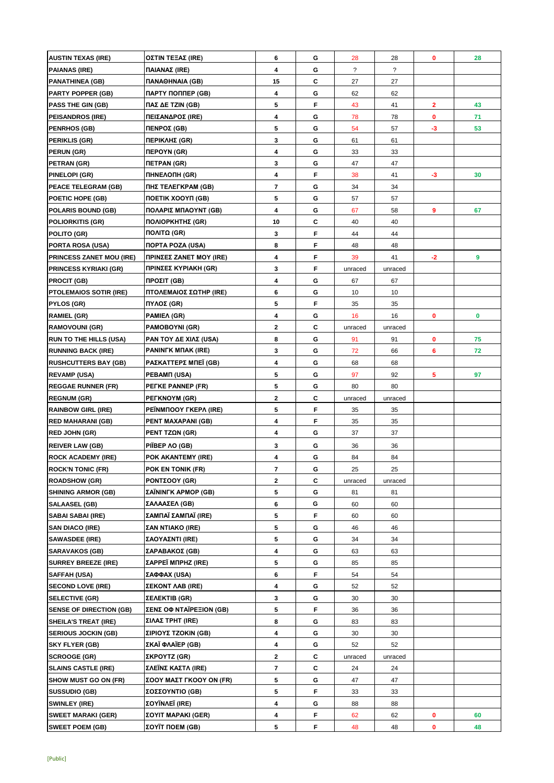| <b>AUSTIN TEXAS (IRE)</b>       | ΟΣΤΙΝ ΤΕΞΑΣ (IRE)                    | 6                       | G  | 28             | 28             | 0            | 28 |
|---------------------------------|--------------------------------------|-------------------------|----|----------------|----------------|--------------|----|
| <b>PAIANAS (IRE)</b>            | ΠΑΙΑΝΑΣ (IRE)                        | 4                       | G  | $\overline{?}$ | $\overline{?}$ |              |    |
| <b>PANATHINEA (GB)</b>          | <b><i><u>TANAOHNAIA</u></i></b> (GB) | 15                      | С  | 27             | 27             |              |    |
| <b>PARTY POPPER (GB)</b>        | ПАРТҮ ПОППЕР (GB)                    | 4                       | G  | 62             | 62             |              |    |
| <b>PASS THE GIN (GB)</b>        | ΠΑΣ ΔΕ ΤΖΙΝ (GB)                     | 5                       | F  | 43             | 41             | $\mathbf{2}$ | 43 |
| <b>PEISANDROS (IRE)</b>         | ΠΕΙΣΑΝΔΡΟΣ (IRE)                     | 4                       | G  | 78             | 78             | 0            | 71 |
| <b>PENRHOS (GB)</b>             | ΠΕΝΡΟΣ (GB)                          | 5                       | G  | 54             | 57             | $-3$         | 53 |
| <b>PERIKLIS (GR)</b>            | ΠΕΡΙΚΛΗΣ (GR)                        | 3                       | G  | 61             | 61             |              |    |
| <b>PERUN (GR)</b>               | ΠΕΡΟΥΝ (GR)                          | 4                       | G  | 33             | 33             |              |    |
| PETRAN (GR)                     | ΠETPAN (GR)                          | 3                       | G  | 47             | 47             |              |    |
| PINELOPI (GR)                   | ΠΗΝΕΛΟΠΗ (GR)                        | 4                       | F  | 38             | 41             | -3           | 30 |
| PEACE TELEGRAM (GB)             | ΠΗΣ ΤΕΛΕΓΚΡΑΜ (GB)                   | $\overline{7}$          | G  | 34             | 34             |              |    |
| POETIC HOPE (GB)                | ΠΟΕΤΙΚ ΧΟΟΥΠ (GB)                    | 5                       | G  | 57             | 57             |              |    |
| <b>POLARIS BOUND (GB)</b>       | ΠΟΛΑΡΙΣ ΜΠΑΟΥΝΤ (GB)                 | 4                       | G  | 67             | 58             | 9            | 67 |
| <b>POLIORKITIS (GR)</b>         | ΠΟΛΙΟΡΚΗΤΗΣ (GR)                     | 10                      | C  | 40             | 40             |              |    |
| <b>POLITO (GR)</b>              | ΠΟΛΙΤΩ (GR)                          | 3                       | F  | 44             | 44             |              |    |
| PORTA ROSA (USA)                | <b><i>NOPTA POZA (USA)</i></b>       | 8                       | F  | 48             | 48             |              |    |
| <b>PRINCESS ZANET MOU (IRE)</b> | ΠΡΙΝΣΕΣ ZANET MOY (IRE)              | 4                       | F  | 39             | 41             | $-2$         | 9  |
| <b>PRINCESS KYRIAKI (GR)</b>    | <b>ΠΡΙΝΣΕΣ ΚΥΡΙΑΚΗ (GR)</b>          | 3                       | F  | unraced        | unraced        |              |    |
| <b>PROCIT (GB)</b>              | ΠΡΟΣΙΤ (GB)                          | 4                       | G  | 67             | 67             |              |    |
| <b>PTOLEMAIOS SOTIR (IRE)</b>   | ΠΤΟΛΕΜΑΙΟΣ ΣΩΤΗΡ (IRE)               | 6                       | G  | 10             | 10             |              |    |
| <b>PYLOS (GR)</b>               | ΠΥΛΟΣ (GR)                           | 5                       | F  | 35             | 35             |              |    |
| <b>RAMIEL (GR)</b>              | PAMIEA (GR)                          | 4                       | G  | 16             | 16             | 0            | 0  |
| <b>RAMOVOUNI (GR)</b>           | <b>PAMOBOYNI (GR)</b>                | $\mathbf{2}$            | C  | unraced        | unraced        |              |    |
| <b>RUN TO THE HILLS (USA)</b>   | PAN TOY ΔΕ ΧΙΛΣ (USA)                | 8                       | G  | 91             | 91             | $\mathbf 0$  | 75 |
| <b>RUNNING BACK (IRE)</b>       | <b>PANINFK MITAK (IRE)</b>           | 3                       | G  | 72             | 66             | 6            | 72 |
| <b>RUSHCUTTERS BAY (GB)</b>     | ΡΑΣΚΑΤΤΕΡΣ ΜΠΕΪ (GB)                 | 4                       | G  | 68             | 68             |              |    |
| <b>REVAMP (USA)</b>             | PEBAMIT (USA)                        | 5                       | G  | 97             | 92             | 5            | 97 |
| <b>REGGAE RUNNER (FR)</b>       | PEFKE PANNEP (FR)                    | 5                       | G  | 80             | 80             |              |    |
| <b>REGNUM (GR)</b>              | PETKNOYM (GR)                        | $\mathbf{2}$            | С  | unraced        | unraced        |              |    |
| <b>RAINBOW GIRL (IRE)</b>       | PEINMΠOOY ΓΚΕΡΛ (IRE)                | 5                       | F  | 35             | 35             |              |    |
| <b>RED MAHARANI (GB)</b>        | PENT MAXAPANI (GB)                   | 4                       | F  | 35             | 35             |              |    |
| <b>RED JOHN (GR)</b>            | PENT TZΩN (GR)                       | 4                       | G  | 37             | 37             |              |    |
| <b>REIVER LAW (GB)</b>          | PIÏBEP AO (GB)                       | 3                       | G  | 36             | 36             |              |    |
| <b>ROCK ACADEMY (IRE)</b>       | POK AKANTEMY (IRE)                   | 4                       | G  | 84             | 84             |              |    |
| <b>ROCK'N TONIC (FR)</b>        | POK EN TONIK (FR)                    | $\overline{\mathbf{r}}$ | G  | 25             | 25             |              |    |
| <b>ROADSHOW (GR)</b>            | PONTΣOOY (GR)                        | $\mathbf{2}$            | C  | unraced        | unraced        |              |    |
| <b>SHINING ARMOR (GB)</b>       | ΣAÏNINΓK APMOP (GB)                  | 5                       | G  | 81             | 81             |              |    |
| <b>SALAASEL (GB)</b>            | ΣΑΛΑΑΣΕΛ (GB)                        | 6                       | G  | 60             | 60             |              |    |
| <b>SABAI SABAI (IRE)</b>        | ΣΑΜΠΑΪ ΣΑΜΠΑΪ (IRE)                  | 5                       | F. | 60             | 60             |              |    |
| <b>SAN DIACO (IRE)</b>          | ΣΑΝ ΝΤΙΑΚΟ (IRE)                     | 5                       | G  | 46             | 46             |              |    |
| <b>SAWASDEE (IRE)</b>           | ΣΑΟΥΑΣΝΤΙ (IRE)                      | 5                       | G  | 34             | 34             |              |    |
| <b>SARAVAKOS (GB)</b>           | ΣΑΡΑΒΑΚΟΣ (GB)                       | 4                       | G  | 63             | 63             |              |    |
| <b>SURREY BREEZE (IRE)</b>      | ΣΑΡΡΕΪ ΜΠΡΗΖ (IRE)                   | 5                       | G  | 85             | 85             |              |    |
| <b>SAFFAH (USA)</b>             | ΣΑΦΦΑΧ (USA)                         | 6                       | F  | 54             | 54             |              |    |
| <b>SECOND LOVE (IRE)</b>        | <b>ΣΕΚΟΝΤ ΛΑΒ (IRE)</b>              | 4                       | G  | 52             | 52             |              |    |
| <b>SELECTIVE (GR)</b>           | ΣΕΛΕΚΤΙΒ (GR)                        | 3                       | G  | 30             | 30             |              |    |
| <b>SENSE OF DIRECTION (GB)</b>  | ΣΕΝΣ ΟΦ ΝΤΑΪΡΕΞΙΟΝ (GB)              | 5                       | F  | 36             | 36             |              |    |
| <b>SHEILA'S TREAT (IRE)</b>     | ΣΙΛΑΣ ΤΡΗΤ (IRE)                     | 8                       | G  | 83             | 83             |              |    |
| <b>SERIOUS JOCKIN (GB)</b>      | ΣΙΡΙΟΥΣ TZOKIN (GB)                  | 4                       | G  | 30             | 30             |              |    |
| <b>SKY FLYER (GB)</b>           | ΣΚΑΪ ΦΛΑΪΕΡ (GB)                     | 4                       | G  | 52             | 52             |              |    |
| <b>SCROOGE (GR)</b>             | ΣΚΡΟΥΤΖ (GR)                         | $\mathbf{2}$            | С  | unraced        | unraced        |              |    |
| <b>SLAINS CASTLE (IRE)</b>      | ΣΛΕΪΝΣ ΚΑΣΤΛ (IRE)                   | $\overline{7}$          | C  | 24             | 24             |              |    |
| <b>SHOW MUST GO ON (FR)</b>     | ΣΟΟΥ ΜΑΣΤ ΓΚΟΟΥ ΟΝ (FR)              | 5                       | G  | 47             | 47             |              |    |
| <b>SUSSUDIO (GB)</b>            | ΣΟΣΣΟΥΝΤΙΟ (GB)                      | 5                       | F. | 33             | 33             |              |    |
| <b>SWINLEY (IRE)</b>            | ΣΟΥΪ́ΝΛΕΪ (IRE)                      | 4                       | G  | 88             | 88             |              |    |
| <b>SWEET MARAKI (GER)</b>       | ΣΟΥΙΤ ΜΑΡΑΚΙ (GER)                   | 4                       | F. | 62             | 62             | 0            | 60 |
| <b>SWEET POEM (GB)</b>          | ΣΟΥΊΤ ΠΟΕΜ (GB)                      | 5                       | F  | 48             | 48             | 0            | 48 |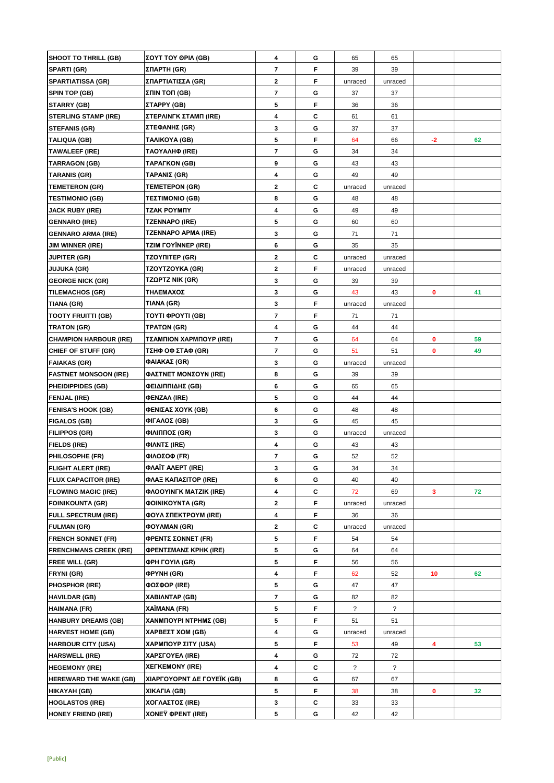| <b>SHOOT TO THRILL (GB)</b>   | ΣΟΥΤ ΤΟΥ ΘΡΙΛ (GB)                   | 4                       | G | 65                   | 65                       |      |    |
|-------------------------------|--------------------------------------|-------------------------|---|----------------------|--------------------------|------|----|
| SPARTI (GR)                   | ΣΠΑΡΤΗ (GR)                          | $\overline{7}$          | F | 39                   | 39                       |      |    |
| <b>SPARTIATISSA (GR)</b>      | ΣΠΑΡΤΙΑΤΙΣΣΑ (GR)                    | $\mathbf{2}$            | F | unraced              | unraced                  |      |    |
| <b>SPIN TOP (GB)</b>          | ΣΠΙΝ ΤΟΠ (GB)                        | $\overline{7}$          | G | 37                   | 37                       |      |    |
| <b>STARRY (GB)</b>            | ΣΤΑΡΡΥ (GB)                          | 5                       | F | 36                   | 36                       |      |    |
| <b>STERLING STAMP (IRE)</b>   | ΣΤΕΡΛΙΝΓΚ ΣΤΑΜΠ (IRE)                | 4                       | C | 61                   | 61                       |      |    |
| <b>STEFANIS (GR)</b>          | ΣΤΕΦΑΝΗΣ (GR)                        | 3                       | G | 37                   | 37                       |      |    |
| <b>TALIQUA (GB)</b>           | TAAIKOYA (GB)                        | 5                       | F | 64                   | 66                       | $-2$ | 62 |
| <b>TAWALEEF (IRE)</b>         | ΤΑΟΥΑΛΗΦ (IRE)                       | 7                       | G | 34                   | 34                       |      |    |
| <b>TARRAGON (GB)</b>          | TAPAΓKON (GB)                        | 9                       | G | 43                   | 43                       |      |    |
| <b>TARANIS (GR)</b>           | ΤΑΡΑΝΙΣ (GR)                         | 4                       | G | 49                   | 49                       |      |    |
| <b>TEMETERON (GR)</b>         | <b>TEMETEPON (GR)</b>                | $\mathbf{2}$            | C | unraced              | unraced                  |      |    |
| <b>TESTIMONIO (GB)</b>        | TEΣTIMONIO (GB)                      | 8                       | G | 48                   | 48                       |      |    |
| <b>JACK RUBY (IRE)</b>        | TZAK POYMNY                          | 4                       | G | 49                   | 49                       |      |    |
| <b>GENNARO (IRE)</b>          | <b>TZENNAPO (IRE)</b>                | 5                       | G | 60                   | 60                       |      |    |
| <b>GENNARO ARMA (IRE)</b>     | <b>TZENNAPO APMA (IRE)</b>           | 3                       | G | 71                   | 71                       |      |    |
| <b>JIM WINNER (IRE)</b>       | <b>TZIM FOYÏNNEP (IRE)</b>           | 6                       | G | 35                   | 35                       |      |    |
| <b>JUPITER (GR)</b>           | TZOYNITEP (GR)                       | $\mathbf{2}$            | С | unraced              | unraced                  |      |    |
| <b>JUJUKA (GR)</b>            | TZOYTZOYKA (GR)                      | 2                       | F | unraced              | unraced                  |      |    |
| <b>GEORGE NICK (GR)</b>       | TZΩPTZ NIK (GR)                      | 3                       | G | 39                   | 39                       |      |    |
| <b>TILEMACHOS (GR)</b>        | ΤΗΛΕΜΑΧΟΣ                            | 3                       | G | 43                   | 43                       | 0    | 41 |
| TIANA (GR)                    | TIANA (GR)                           | 3                       | F | unraced              | unraced                  |      |    |
| <b>TOOTY FRUITTI (GB)</b>     | TOYTI ΦΡΟΥΤΙ (GB)                    | $\overline{\mathbf{r}}$ | F | 71                   | 71                       |      |    |
| <b>TRATON (GR)</b>            | ΤΡΑΤΩΝ (GR)                          | 4                       | G | 44                   | 44                       |      |    |
| <b>CHAMPION HARBOUR (IRE)</b> | ΤΣΑΜΠΙΟΝ ΧΑΡΜΠΟΥΡ (IRE)              | $\overline{7}$          | G | 64                   | 64                       | 0    | 59 |
| CHIEF OF STUFF (GR)           | ΤΣΗΦ ΟΦ ΣΤΑΦ (GR)                    | $\overline{7}$          | G | 51                   | 51                       | 0    | 49 |
| <b>FAIAKAS (GR)</b>           | ΦΑΙΑΚΑΣ (GR)                         | 3                       | G | unraced              | unraced                  |      |    |
| <b>FASTNET MONSOON (IRE)</b>  | ΦΑΣΤΝΕΤ ΜΟΝΣΟΥΝ (IRE)                | 8                       | G | 39                   | 39                       |      |    |
| <b>PHEIDIPPIDES (GB)</b>      | ΦΕΙΔΙΠΠΙΔΗΣ (GB)                     | 6                       | G | 65                   | 65                       |      |    |
| <b>FENJAL (IRE)</b>           | <b>ΦENZAΛ (IRE)</b>                  | 5                       | G | 44                   | 44                       |      |    |
| <b>FENISA'S HOOK (GB)</b>     | ΦΕΝΙΣΑΣ ΧΟΥΚ (GB)                    | 6                       | G | 48                   | 48                       |      |    |
| <b>FIGALOS (GB)</b>           | ΦΙΓΑΛΟΣ (GB)                         | 3                       | G | 45                   | 45                       |      |    |
| <b>FILIPPOS (GR)</b>          | ΦΙΛΙΠΠΟΣ (GR)                        | 3                       | G | unraced              | unraced                  |      |    |
| <b>FIELDS (IRE)</b>           | ΦΙΛΝΤΣ (IRE)                         | 4                       | G | 43                   | 43                       |      |    |
| <b>PHILOSOPHE (FR)</b>        | ΦΙΛΟΣΟΦ (FR)                         | $\overline{\mathbf{r}}$ | G | 52                   | 52                       |      |    |
| <b>FLIGHT ALERT (IRE)</b>     | ΦΛΑΪΤ ΑΛΕΡΤ (IRE)                    | 3                       | G | 34                   | 34                       |      |    |
| <b>FLUX CAPACITOR (IRE)</b>   | ΦΛΑΞ ΚΑΠΑΣΙΤΟΡ (IRE)                 | 6                       | G | 40                   | 40                       |      |    |
| <b>FLOWING MAGIC (IRE)</b>    | <b><i>OAOOYINFK MATZIK (IRE)</i></b> | 4                       | C | 72                   | 69                       | 3    | 72 |
| <b>FOINIKOUNTA (GR)</b>       | <b>ΦΟΙΝΙΚΟΥΝΤΑ (GR)</b>              | $\mathbf{2}$            | F | unraced              | unraced                  |      |    |
| <b>FULL SPECTRUM (IRE)</b>    | <b>ΦΟΥΛ ΣΠΕΚΤΡΟΥΜ (IRE)</b>          | 4                       | F | 36                   | 36                       |      |    |
| <b>FULMAN (GR)</b>            | ΦΟΥΛΜΑΝ (GR)                         | $\mathbf{2}$            | С | unraced              | unraced                  |      |    |
| <b>FRENCH SONNET (FR)</b>     | ΦΡΕΝΤΣ ΣΟΝΝΕΤ (FR)                   | 5                       | F | 54                   | 54                       |      |    |
| <b>FRENCHMANS CREEK (IRE)</b> | <b>ΦΡΕΝΤΣΜΑΝΣ ΚΡΗΚ (IRE)</b>         | 5                       | G | 64                   | 64                       |      |    |
| <b>FREE WILL (GR)</b>         | <b>ΦΡΗ ΓΟΥΙΛ (GR)</b>                | 5                       | F | 56                   | 56                       |      |    |
| FRYNI (GR)                    | <b>OPYNH (GR)</b>                    | 4                       | F | 62                   | 52                       | 10   | 62 |
| <b>PHOSPHOR (IRE)</b>         | <b>ΦΩΣΦΟΡ (IRE)</b>                  | 5                       | G | 47                   | 47                       |      |    |
| <b>HAVILDAR (GB)</b>          | <b>XABIANTAP (GB)</b>                | $\overline{7}$          | G | 82                   | 82                       |      |    |
| HAIMANA (FR)                  | XAÏMANA (FR)                         | 5                       | F | ?                    | $\overline{\phantom{a}}$ |      |    |
| <b>HANBURY DREAMS (GB)</b>    | ΧΑΝΜΠΟΥΡΙ ΝΤΡΗΜΣ (GB)                | 5                       | F | 51                   | 51                       |      |    |
| <b>HARVEST HOME (GB)</b>      | ΧΑΡΒΕΣΤ ΧΟΜ (GB)                     | 4                       | G | unraced              | unraced                  |      |    |
| <b>HARBOUR CITY (USA)</b>     | ΧΑΡΜΠΟΥΡ ΣΙΤΥ (USA)                  | 5                       | F | 53                   | 49                       | 4    | 53 |
| <b>HARSWELL (IRE)</b>         | ΧΑΡΣΓΟΥΕΛ (IRE)                      | 4                       | G | 72                   | 72                       |      |    |
| <b>HEGEMONY (IRE)</b>         | <b>XEFKEMONY (IRE)</b>               | 4                       | С | $\ddot{\phantom{0}}$ | $\overline{\mathcal{E}}$ |      |    |
| <b>HEREWARD THE WAKE (GB)</b> | ΧΙΑΡΓΟΥΟΡΝΤ ΔΕ ΓΟΥΕΪΚ (GB)           | 8                       | G | 67                   | 67                       |      |    |
| HIKAYAH (GB)                  | XIKAFIA (GB)                         | 5                       | F | 38                   | 38                       | 0    | 32 |
| <b>HOGLASTOS (IRE)</b>        | ΧΟΓΛΑΣΤΟΣ (IRE)                      | 3                       | С | 33                   | 33                       |      |    |
| HONEY FRIEND (IRE)            | <b>XONEY OPENT (IRE)</b>             | 5                       | G | 42                   | 42                       |      |    |